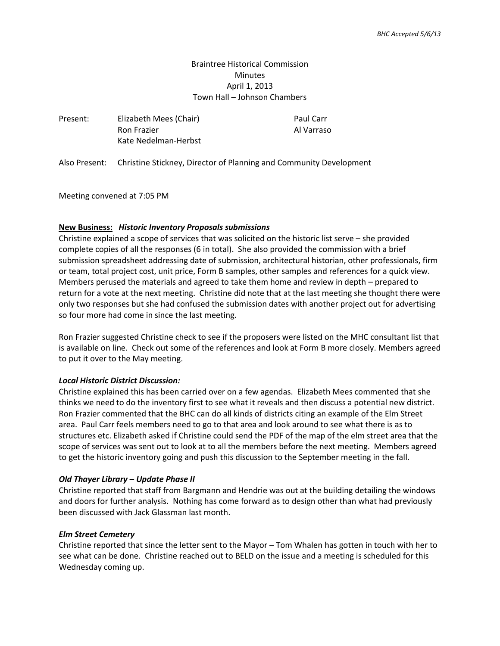# Braintree Historical Commission **Minutes** April 1, 2013 Town Hall – Johnson Chambers

Al Varraso

| Present: | Elizabeth Mees (Chair) | Paul Carr  |
|----------|------------------------|------------|
|          | <b>Ron Frazier</b>     | Al Varraso |
|          | Kate Nedelman-Herbst   |            |

Also Present: Christine Stickney, Director of Planning and Community Development

Meeting convened at 7:05 PM

## **New Business:** *Historic Inventory Proposals submissions*

Christine explained a scope of services that was solicited on the historic list serve – she provided complete copies of all the responses (6 in total). She also provided the commission with a brief submission spreadsheet addressing date of submission, architectural historian, other professionals, firm or team, total project cost, unit price, Form B samples, other samples and references for a quick view. Members perused the materials and agreed to take them home and review in depth – prepared to return for a vote at the next meeting. Christine did note that at the last meeting she thought there were only two responses but she had confused the submission dates with another project out for advertising so four more had come in since the last meeting.

Ron Frazier suggested Christine check to see if the proposers were listed on the MHC consultant list that is available on line. Check out some of the references and look at Form B more closely. Members agreed to put it over to the May meeting.

### *Local Historic District Discussion:*

Christine explained this has been carried over on a few agendas. Elizabeth Mees commented that she thinks we need to do the inventory first to see what it reveals and then discuss a potential new district. Ron Frazier commented that the BHC can do all kinds of districts citing an example of the Elm Street area. Paul Carr feels members need to go to that area and look around to see what there is as to structures etc. Elizabeth asked if Christine could send the PDF of the map of the elm street area that the scope of services was sent out to look at to all the members before the next meeting. Members agreed to get the historic inventory going and push this discussion to the September meeting in the fall.

## *Old Thayer Library – Update Phase II*

Christine reported that staff from Bargmann and Hendrie was out at the building detailing the windows and doors for further analysis. Nothing has come forward as to design other than what had previously been discussed with Jack Glassman last month.

## *Elm Street Cemetery*

Christine reported that since the letter sent to the Mayor – Tom Whalen has gotten in touch with her to see what can be done. Christine reached out to BELD on the issue and a meeting is scheduled for this Wednesday coming up.